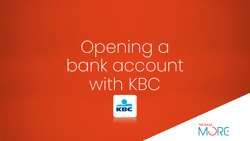Opening a bank account with KBC



THOMAS<br>MURE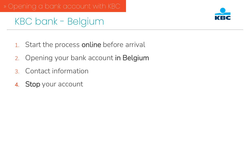

## KBC bank - Belgium

- 1. Start the process online before arrival
- 2. Opening your bank account in Belgium
- 3. Contact information
- 4. Stop your account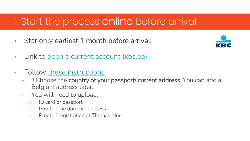## 1. Start the process online before arrival

• Star only earliest 1 month before arrival!



- Link to [open a current account \(kbc.be\)](https://www.kbc.be/retail/en/processes/payments/current-accounts/open-current-account.html?producttype=3845&synonym=#/account/request/holder-selection)
- Follow [these instructions](https://www.thomasmore.be/sites/default/files/inline-files/Opening%20a%20bank%20account%20at%20KBC%20-%20instructions.pdf)
	- I Choose the country of your passport/ current address. You can add a Belgium address later.
	- You will need to upload:
		- ID card or passport
		- Proof of the domicile address
		- Proof of registration at Thomas More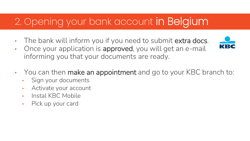# 2. Opening your bank account in Belgium

- The bank will inform you if you need to submit extra docs.
- Once your application is approved, you will get an e-mail informing you that your documents are ready.



- You can then make an appointment and go to your KBC branch to:
	- Sign your documents
	- Activate your account
	- Instal KBC Mobile
	- Pick up your card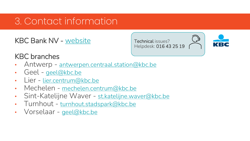### 3. Contact information

KBC Bank NV - [website](https://www.kbc.be/retail/en.html?zone=topnav)

Technical issues? Helpdesk: 016 43 25 19



#### KBC branches

- Antwerp [antwerpen.centraal.station@kbc.be](mailto:antwerpen.centraal.station@kbc.be)
- Geel [geel@kbc.be](mailto:geel@kbc.be)
- Lier [lier.centrum@kbc.be](mailto:lier.centrum@kbc.be)
- Mechelen [mechelen.centrum@kbc.be](mailto:mechelen.centrum@kbc.be)
- Sint-Katelijne Waver [st.katelijne.waver@kbc.be](mailto:st.katelijne.waver@kbc.be)
- Turnhout [turnhout.stadspark@kbc.be](mailto:turnhout.stadspark@kbc.be)
- Vorselaar [geel@kbc.be](mailto:geel@kbc.be)